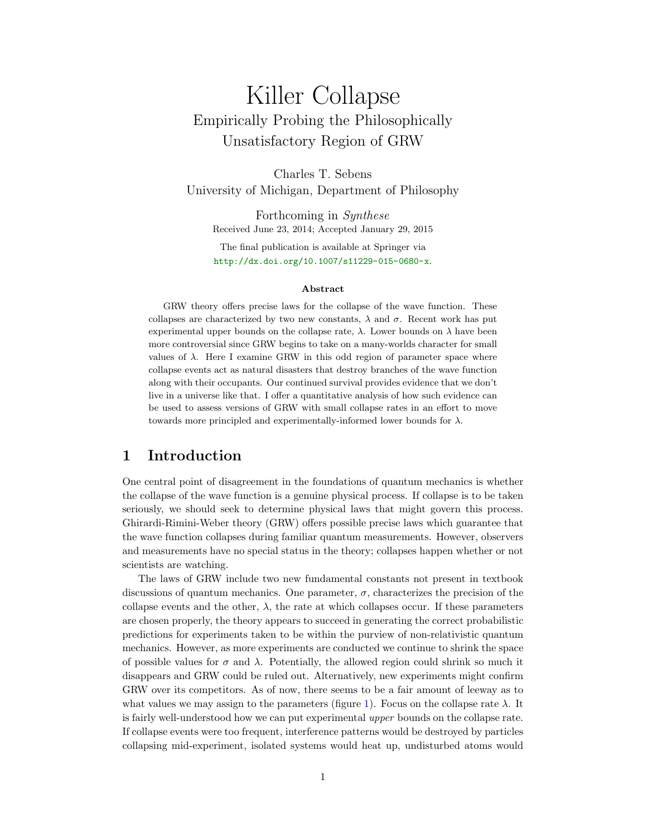# Killer Collapse Empirically Probing the Philosophically Unsatisfactory Region of GRW

Charles T. Sebens University of Michigan, Department of Philosophy

Forthcoming in Synthese Received June 23, 2014; Accepted January 29, 2015

The final publication is available at Springer via <http://dx.doi.org/10.1007/s11229-015-0680-x>.

#### Abstract

GRW theory offers precise laws for the collapse of the wave function. These collapses are characterized by two new constants,  $\lambda$  and  $\sigma$ . Recent work has put experimental upper bounds on the collapse rate,  $\lambda$ . Lower bounds on  $\lambda$  have been more controversial since GRW begins to take on a many-worlds character for small values of  $\lambda$ . Here I examine GRW in this odd region of parameter space where collapse events act as natural disasters that destroy branches of the wave function along with their occupants. Our continued survival provides evidence that we don't live in a universe like that. I offer a quantitative analysis of how such evidence can be used to assess versions of GRW with small collapse rates in an effort to move towards more principled and experimentally-informed lower bounds for  $\lambda$ .

#### <span id="page-0-0"></span>1 Introduction

One central point of disagreement in the foundations of quantum mechanics is whether the collapse of the wave function is a genuine physical process. If collapse is to be taken seriously, we should seek to determine physical laws that might govern this process. Ghirardi-Rimini-Weber theory (GRW) offers possible precise laws which guarantee that the wave function collapses during familiar quantum measurements. However, observers and measurements have no special status in the theory; collapses happen whether or not scientists are watching.

The laws of GRW include two new fundamental constants not present in textbook discussions of quantum mechanics. One parameter,  $\sigma$ , characterizes the precision of the collapse events and the other,  $\lambda$ , the rate at which collapses occur. If these parameters are chosen properly, the theory appears to succeed in generating the correct probabilistic predictions for experiments taken to be within the purview of non-relativistic quantum mechanics. However, as more experiments are conducted we continue to shrink the space of possible values for  $\sigma$  and  $\lambda$ . Potentially, the allowed region could shrink so much it disappears and GRW could be ruled out. Alternatively, new experiments might confirm GRW over its competitors. As of now, there seems to be a fair amount of leeway as to what values we may assign to the parameters (figure [1\)](#page-1-0). Focus on the collapse rate  $\lambda$ . It is fairly well-understood how we can put experimental upper bounds on the collapse rate. If collapse events were too frequent, interference patterns would be destroyed by particles collapsing mid-experiment, isolated systems would heat up, undisturbed atoms would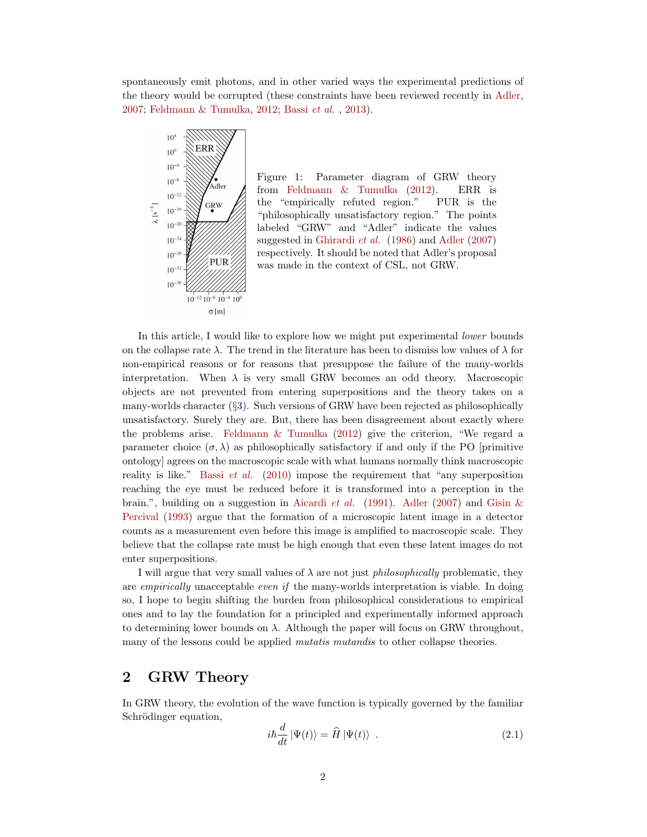spontaneously emit photons, and in other varied ways the experimental predictions of the theory would be corrupted (these constraints have been reviewed recently in [Adler,](#page-14-0) [2007;](#page-14-0) [Feldmann & Tumulka,](#page-14-1) [2012;](#page-14-1) [Bassi](#page-14-2) et al. , [2013\)](#page-14-2).



<span id="page-1-0"></span>Figure 1: Parameter diagram of GRW theory from [Feldmann & Tumulka](#page-14-1) [\(2012\)](#page-14-1). ERR is the "empirically refuted region." PUR is the "philosophically unsatisfactory region." The points labeled "GRW" and "Adler" indicate the values suggested in [Ghirardi](#page-15-0) et al. [\(1986\)](#page-15-0) and [Adler](#page-14-0) [\(2007\)](#page-14-0) respectively. It should be noted that Adler's proposal was made in the context of CSL, not GRW.

In this article, I would like to explore how we might put experimental lower bounds on the collapse rate  $\lambda$ . The trend in the literature has been to dismiss low values of  $\lambda$  for non-empirical reasons or for reasons that presuppose the failure of the many-worlds interpretation. When  $\lambda$  is very small GRW becomes an odd theory. Macroscopic objects are not prevented from entering superpositions and the theory takes on a many-worlds character (§[3\)](#page-3-0). Such versions of GRW have been rejected as philosophically unsatisfactory. Surely they are. But, there has been disagreement about exactly where the problems arise. [Feldmann & Tumulka](#page-14-1) [\(2012\)](#page-14-1) give the criterion, "We regard a parameter choice  $(\sigma, \lambda)$  as philosophically satisfactory if and only if the PO [primitive ontology] agrees on the macroscopic scale with what humans normally think macroscopic reality is like." Bassi [et al.](#page-14-3)  $(2010)$  impose the requirement that "any superposition" reaching the eye must be reduced before it is transformed into a perception in the brain.", building on a suggestion in [Aicardi](#page-14-4) *et al.* [\(1991\)](#page-14-4). [Adler](#page-14-0) [\(2007\)](#page-14-0) and Gisin  $\&$ [Percival](#page-15-1) [\(1993\)](#page-15-1) argue that the formation of a microscopic latent image in a detector counts as a measurement even before this image is amplified to macroscopic scale. They believe that the collapse rate must be high enough that even these latent images do not enter superpositions.

I will argue that very small values of  $\lambda$  are not just *philosophically* problematic, they are *empirically* unacceptable *even if* the many-worlds interpretation is viable. In doing so, I hope to begin shifting the burden from philosophical considerations to empirical ones and to lay the foundation for a principled and experimentally informed approach to determining lower bounds on  $\lambda$ . Although the paper will focus on GRW throughout, many of the lessons could be applied *mutatis mutandis* to other collapse theories.

## 2 GRW Theory

In GRW theory, the evolution of the wave function is typically governed by the familiar Schrödinger equation,

<span id="page-1-1"></span>
$$
i\hbar \frac{d}{dt} |\Psi(t)\rangle = \hat{H} |\Psi(t)\rangle . \qquad (2.1)
$$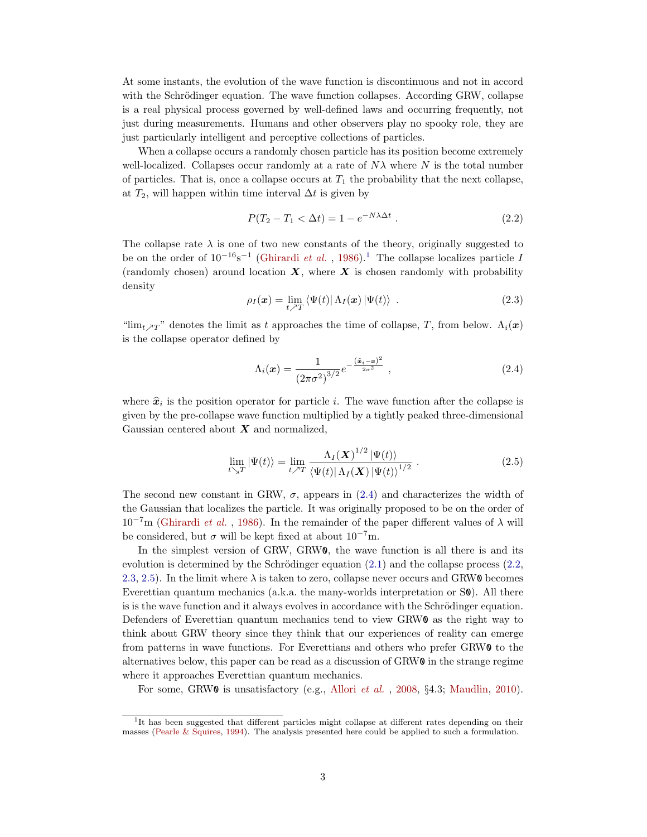At some instants, the evolution of the wave function is discontinuous and not in accord with the Schrödinger equation. The wave function collapses. According GRW, collapse is a real physical process governed by well-defined laws and occurring frequently, not just during measurements. Humans and other observers play no spooky role, they are just particularly intelligent and perceptive collections of particles.

When a collapse occurs a randomly chosen particle has its position become extremely well-localized. Collapses occur randomly at a rate of  $N\lambda$  where N is the total number of particles. That is, once a collapse occurs at  $T_1$  the probability that the next collapse, at  $T_2$ , will happen within time interval  $\Delta t$  is given by

<span id="page-2-2"></span>
$$
P(T_2 - T_1 < \Delta t) = 1 - e^{-N\lambda \Delta t} \tag{2.2}
$$

The collapse rate  $\lambda$  is one of two new constants of the theory, originally suggested to be on the order of  $10^{-16}s^{-1}$  $10^{-16}s^{-1}$  [\(Ghirardi](#page-15-0) *et al.*, [1986\)](#page-15-0).<sup>1</sup> The collapse localizes particle I (randomly chosen) around location  $X$ , where  $X$  is chosen randomly with probability density

<span id="page-2-3"></span>
$$
\rho_I(\boldsymbol{x}) = \lim_{t \nearrow T} \langle \Psi(t) | \Lambda_I(\boldsymbol{x}) | \Psi(t) \rangle . \qquad (2.3)
$$

" $\lim_{t \to T}$ " denotes the limit as t approaches the time of collapse, T, from below.  $\Lambda_i(x)$ is the collapse operator defined by

<span id="page-2-1"></span>
$$
\Lambda_i(\boldsymbol{x}) = \frac{1}{(2\pi\sigma^2)^{3/2}} e^{-\frac{(\hat{\boldsymbol{x}}_i - \boldsymbol{x})^2}{2\sigma^2}},
$$
\n(2.4)

where  $\hat{x}_i$  is the position operator for particle *i*. The wave function after the collapse is<br>where he the age collapse were function unlimited by a tightharpolad three dimensional given by the pre-collapse wave function multiplied by a tightly peaked three-dimensional Gaussian centered about  $X$  and normalized,

<span id="page-2-4"></span>
$$
\lim_{t \searrow T} |\Psi(t)\rangle = \lim_{t \nearrow T} \frac{\Lambda_I(\boldsymbol{X})^{1/2} |\Psi(t)\rangle}{\langle \Psi(t) | \Lambda_I(\boldsymbol{X}) | \Psi(t) \rangle^{1/2}} . \tag{2.5}
$$

1/2

The second new constant in GRW,  $\sigma$ , appears in [\(2.4\)](#page-2-1) and characterizes the width of the Gaussian that localizes the particle. It was originally proposed to be on the order of  $10^{-7}$ m [\(Ghirardi](#page-15-0) et al., [1986\)](#page-15-0). In the remainder of the paper different values of  $\lambda$  will be considered, but  $\sigma$  will be kept fixed at about 10<sup>-7</sup>m.

In the simplest version of GRW, GRW0, the wave function is all there is and its evolution is determined by the Schrödinger equation  $(2.1)$  and the collapse process  $(2.2,$ [2.3,](#page-2-3) [2.5\)](#page-2-4). In the limit where  $\lambda$  is taken to zero, collapse never occurs and GRW0 becomes Everettian quantum mechanics (a.k.a. the many-worlds interpretation or S0). All there is is the wave function and it always evolves in accordance with the Schrödinger equation. Defenders of Everettian quantum mechanics tend to view GRW0 as the right way to think about GRW theory since they think that our experiences of reality can emerge from patterns in wave functions. For Everettians and others who prefer GRW0 to the alternatives below, this paper can be read as a discussion of GRW0 in the strange regime where it approaches Everettian quantum mechanics.

For some, GRW0 is unsatisfactory (e.g., [Allori](#page-14-5) *et al.*, [2008,](#page-14-5) §4.3; [Maudlin,](#page-15-2) [2010\)](#page-15-2).

<span id="page-2-0"></span><sup>&</sup>lt;sup>1</sup>It has been suggested that different particles might collapse at different rates depending on their masses [\(Pearle & Squires,](#page-15-3) [1994\)](#page-15-3). The analysis presented here could be applied to such a formulation.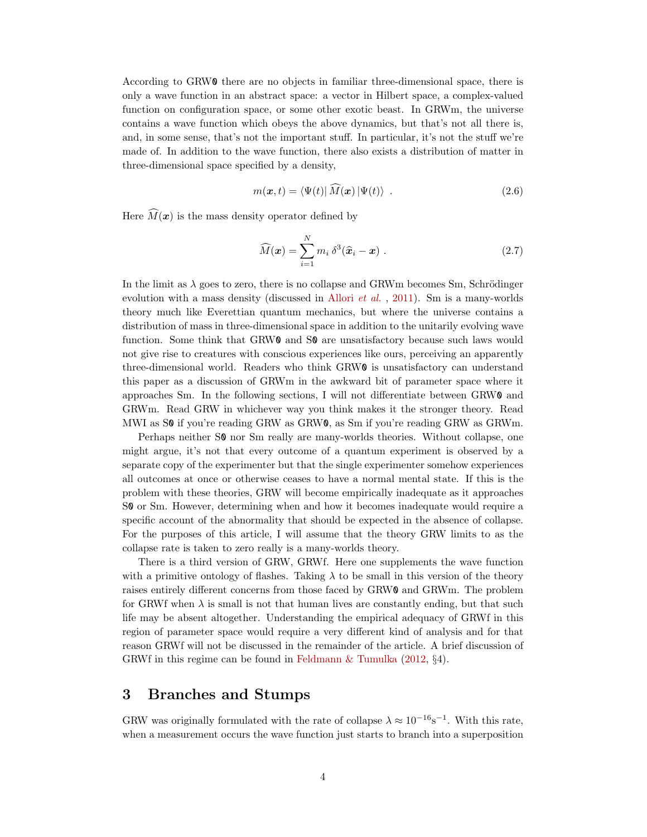According to GRW0 there are no objects in familiar three-dimensional space, there is only a wave function in an abstract space: a vector in Hilbert space, a complex-valued function on configuration space, or some other exotic beast. In GRWm, the universe contains a wave function which obeys the above dynamics, but that's not all there is, and, in some sense, that's not the important stuff. In particular, it's not the stuff we're made of. In addition to the wave function, there also exists a distribution of matter in three-dimensional space specified by a density,

$$
m(\boldsymbol{x},t) = \langle \Psi(t) | \hat{M}(\boldsymbol{x}) | \Psi(t) \rangle . \qquad (2.6)
$$

Here  $\widehat{M}(x)$  is the mass density operator defined by

$$
\widehat{M}(\boldsymbol{x}) = \sum_{i=1}^{N} m_i \, \delta^3(\widehat{\boldsymbol{x}}_i - \boldsymbol{x}) \; . \tag{2.7}
$$

In the limit as  $\lambda$  goes to zero, there is no collapse and GRWm becomes Sm, Schrödinger evolution with a mass density (discussed in [Allori](#page-14-6) et al. , [2011\)](#page-14-6). Sm is a many-worlds theory much like Everettian quantum mechanics, but where the universe contains a distribution of mass in three-dimensional space in addition to the unitarily evolving wave function. Some think that GRW0 and S0 are unsatisfactory because such laws would not give rise to creatures with conscious experiences like ours, perceiving an apparently three-dimensional world. Readers who think GRW0 is unsatisfactory can understand this paper as a discussion of GRWm in the awkward bit of parameter space where it approaches Sm. In the following sections, I will not differentiate between GRW0 and GRWm. Read GRW in whichever way you think makes it the stronger theory. Read MWI as S0 if you're reading GRW as GRW0, as Sm if you're reading GRW as GRWm.

Perhaps neither S0 nor Sm really are many-worlds theories. Without collapse, one might argue, it's not that every outcome of a quantum experiment is observed by a separate copy of the experimenter but that the single experimenter somehow experiences all outcomes at once or otherwise ceases to have a normal mental state. If this is the problem with these theories, GRW will become empirically inadequate as it approaches S0 or Sm. However, determining when and how it becomes inadequate would require a specific account of the abnormality that should be expected in the absence of collapse. For the purposes of this article, I will assume that the theory GRW limits to as the collapse rate is taken to zero really is a many-worlds theory.

There is a third version of GRW, GRWf. Here one supplements the wave function with a primitive ontology of flashes. Taking  $\lambda$  to be small in this version of the theory raises entirely different concerns from those faced by GRW0 and GRWm. The problem for GRWf when  $\lambda$  is small is not that human lives are constantly ending, but that such life may be absent altogether. Understanding the empirical adequacy of GRWf in this region of parameter space would require a very different kind of analysis and for that reason GRWf will not be discussed in the remainder of the article. A brief discussion of GRWf in this regime can be found in [Feldmann & Tumulka](#page-14-1) [\(2012,](#page-14-1) §4).

#### <span id="page-3-0"></span>3 Branches and Stumps

GRW was originally formulated with the rate of collapse  $\lambda \approx 10^{-16}$ s<sup>-1</sup>. With this rate, when a measurement occurs the wave function just starts to branch into a superposition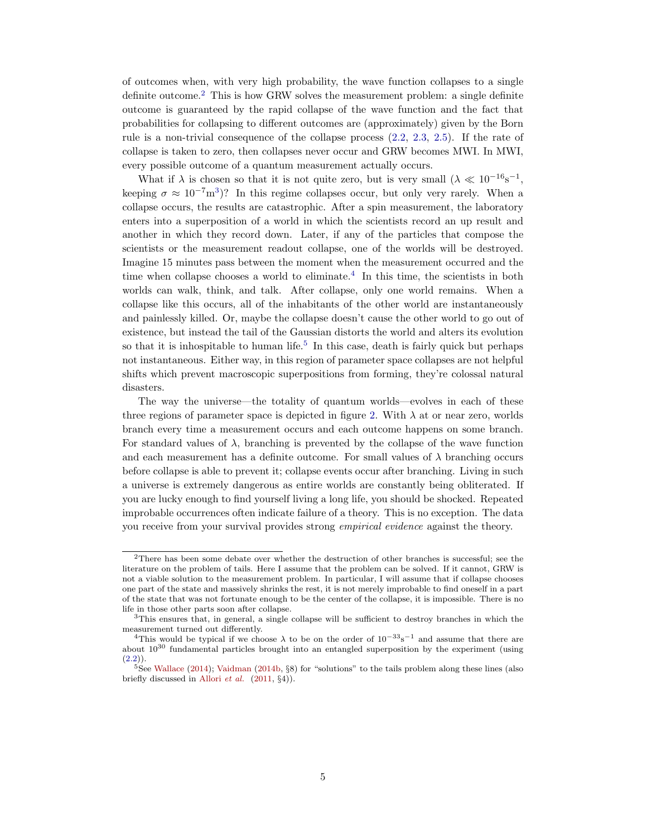of outcomes when, with very high probability, the wave function collapses to a single definite outcome.[2](#page-4-0) This is how GRW solves the measurement problem: a single definite outcome is guaranteed by the rapid collapse of the wave function and the fact that probabilities for collapsing to different outcomes are (approximately) given by the Born rule is a non-trivial consequence of the collapse process [\(2.2,](#page-2-2) [2.3,](#page-2-3) [2.5\)](#page-2-4). If the rate of collapse is taken to zero, then collapses never occur and GRW becomes MWI. In MWI, every possible outcome of a quantum measurement actually occurs.

What if  $\lambda$  is chosen so that it is not quite zero, but is very small  $(\lambda \ll 10^{-16} s^{-1},$ keeping  $\sigma \approx 10^{-7}$ m<sup>[3](#page-4-1)</sup>)? In this regime collapses occur, but only very rarely. When a collapse occurs, the results are catastrophic. After a spin measurement, the laboratory enters into a superposition of a world in which the scientists record an up result and another in which they record down. Later, if any of the particles that compose the scientists or the measurement readout collapse, one of the worlds will be destroyed. Imagine 15 minutes pass between the moment when the measurement occurred and the time when collapse chooses a world to eliminate.<sup>[4](#page-4-2)</sup> In this time, the scientists in both worlds can walk, think, and talk. After collapse, only one world remains. When a collapse like this occurs, all of the inhabitants of the other world are instantaneously and painlessly killed. Or, maybe the collapse doesn't cause the other world to go out of existence, but instead the tail of the Gaussian distorts the world and alters its evolution so that it is inhospitable to human life.<sup>[5](#page-4-3)</sup> In this case, death is fairly quick but perhaps not instantaneous. Either way, in this region of parameter space collapses are not helpful shifts which prevent macroscopic superpositions from forming, they're colossal natural disasters.

The way the universe—the totality of quantum worlds—evolves in each of these three regions of parameter space is depicted in figure [2.](#page-5-0) With  $\lambda$  at or near zero, worlds branch every time a measurement occurs and each outcome happens on some branch. For standard values of  $\lambda$ , branching is prevented by the collapse of the wave function and each measurement has a definite outcome. For small values of  $\lambda$  branching occurs before collapse is able to prevent it; collapse events occur after branching. Living in such a universe is extremely dangerous as entire worlds are constantly being obliterated. If you are lucky enough to find yourself living a long life, you should be shocked. Repeated improbable occurrences often indicate failure of a theory. This is no exception. The data you receive from your survival provides strong *empirical evidence* against the theory.

<span id="page-4-0"></span><sup>2</sup>There has been some debate over whether the destruction of other branches is successful; see the literature on the problem of tails. Here I assume that the problem can be solved. If it cannot, GRW is not a viable solution to the measurement problem. In particular, I will assume that if collapse chooses one part of the state and massively shrinks the rest, it is not merely improbable to find oneself in a part of the state that was not fortunate enough to be the center of the collapse, it is impossible. There is no life in those other parts soon after collapse.

<span id="page-4-1"></span><sup>3</sup>This ensures that, in general, a single collapse will be sufficient to destroy branches in which the measurement turned out differently.

<span id="page-4-2"></span><sup>&</sup>lt;sup>4</sup>This would be typical if we choose  $\lambda$  to be on the order of 10<sup>-33</sup>s<sup>-1</sup> and assume that there are about  $10^{30}$  fundamental particles brought into an entangled superposition by the experiment (using  $(2.2)$ .

<span id="page-4-3"></span><sup>5</sup>See [Wallace](#page-15-4) [\(2014\)](#page-15-4); [Vaidman](#page-15-5) [\(2014b,](#page-15-5) §8) for "solutions" to the tails problem along these lines (also briefly discussed in [Allori](#page-14-6) et al. [\(2011,](#page-14-6) §4)).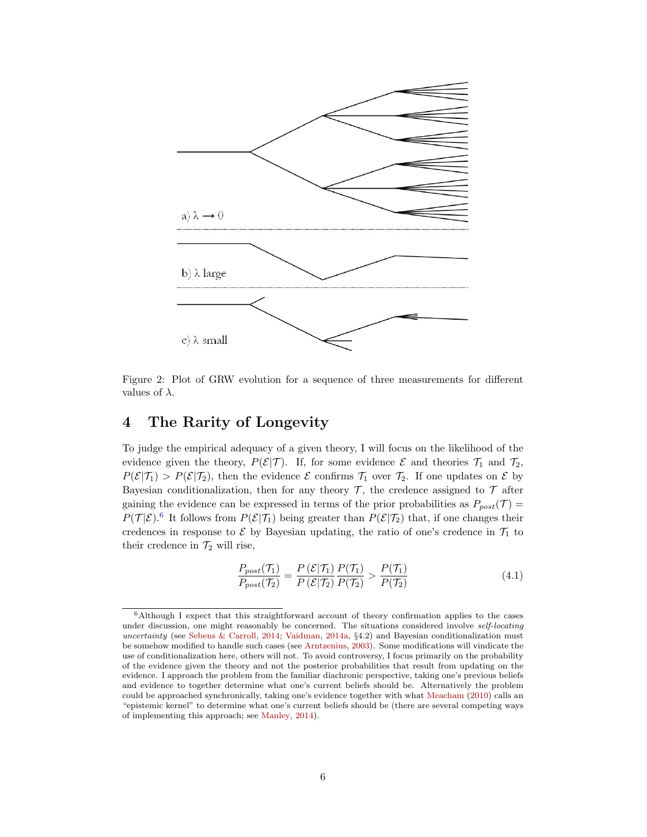

<span id="page-5-0"></span>Figure 2: Plot of GRW evolution for a sequence of three measurements for different values of  $\lambda$ .

#### <span id="page-5-2"></span>4 The Rarity of Longevity

To judge the empirical adequacy of a given theory, I will focus on the likelihood of the evidence given the theory,  $P(\mathcal{E}|\mathcal{T})$ . If, for some evidence  $\mathcal E$  and theories  $\mathcal T_1$  and  $\mathcal T_2$ ,  $P(\mathcal{E}|\mathcal{T}_1) > P(\mathcal{E}|\mathcal{T}_2)$ , then the evidence  $\mathcal E$  confirms  $\mathcal T_1$  over  $\mathcal T_2$ . If one updates on  $\mathcal E$  by Bayesian conditionalization, then for any theory  $\mathcal{T}$ , the credence assigned to  $\mathcal{T}$  after gaining the evidence can be expressed in terms of the prior probabilities as  $P_{post}(\mathcal{T}) =$  $P(\mathcal{T}|\mathcal{E})$ .<sup>[6](#page-5-1)</sup> It follows from  $P(\mathcal{E}|\mathcal{T}_1)$  being greater than  $P(\mathcal{E}|\mathcal{T}_2)$  that, if one changes their credences in response to  $\mathcal E$  by Bayesian updating, the ratio of one's credence in  $\mathcal T_1$  to their credence in  $\mathcal{T}_2$  will rise,

$$
\frac{P_{post}(\mathcal{T}_1)}{P_{post}(\mathcal{T}_2)} = \frac{P(\mathcal{E}|\mathcal{T}_1)}{P(\mathcal{E}|\mathcal{T}_2)} \frac{P(\mathcal{T}_1)}{P(\mathcal{T}_2)} > \frac{P(\mathcal{T}_1)}{P(\mathcal{T}_2)}
$$
(4.1)

<span id="page-5-1"></span> $6$ Although I expect that this straightforward account of theory confirmation applies to the cases under discussion, one might reasonably be concerned. The situations considered involve self-locating uncertainty (see [Sebens & Carroll,](#page-15-6) [2014;](#page-15-6) [Vaidman,](#page-15-7) [2014a,](#page-15-7) §4.2) and Bayesian conditionalization must be somehow modified to handle such cases (see [Arntzenius,](#page-14-7) [2003\)](#page-14-7). Some modifications will vindicate the use of conditionalization here, others will not. To avoid controversy, I focus primarily on the probability of the evidence given the theory and not the posterior probabilities that result from updating on the evidence. I approach the problem from the familiar diachronic perspective, taking one's previous beliefs and evidence to together determine what one's current beliefs should be. Alternatively the problem could be approached synchronically, taking one's evidence together with what [Meacham](#page-15-8) [\(2010\)](#page-15-8) calls an "epistemic kernel" to determine what one's current beliefs should be (there are several competing ways of implementing this approach; see [Manley,](#page-15-9) [2014\)](#page-15-9).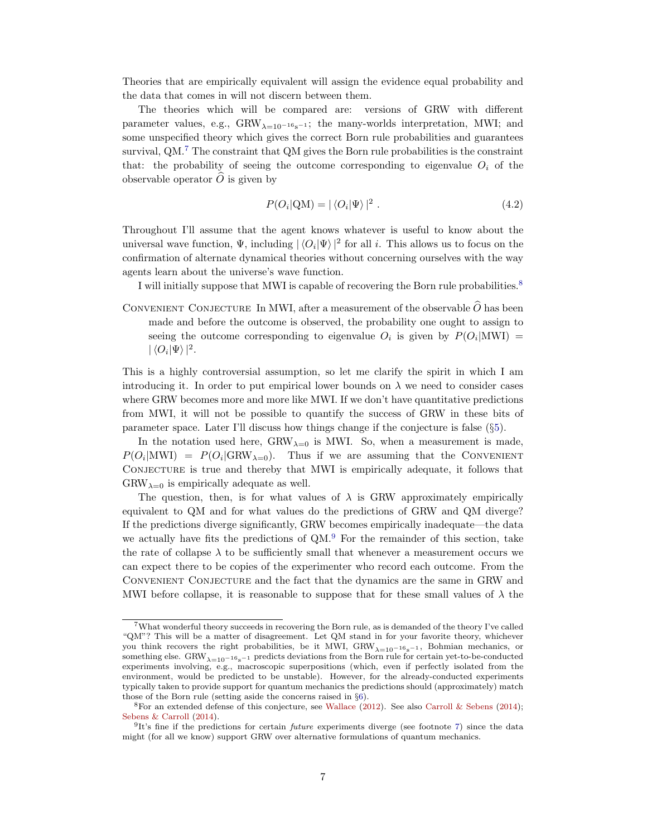Theories that are empirically equivalent will assign the evidence equal probability and the data that comes in will not discern between them.

The theories which will be compared are: versions of GRW with different parameter values, e.g., GRW<sub> $\lambda=10^{-16}s^{-1}$ ; the many-worlds interpretation, MWI; and</sub> some unspecified theory which gives the correct Born rule probabilities and guarantees survival, QM.<sup>[7](#page-6-0)</sup> The constraint that QM gives the Born rule probabilities is the constraint that: the probability of seeing the outcome corresponding to eigenvalue  $O_i$  of the observable operator  $\ddot{O}$  is given by

$$
P(O_i|\text{QM}) = |\langle O_i|\Psi\rangle|^2. \tag{4.2}
$$

Throughout I'll assume that the agent knows whatever is useful to know about the universal wave function,  $\Psi$ , including  $|\langle O_i | \Psi \rangle|^2$  for all i. This allows us to focus on the confirmation of alternate dynamical theories without concerning ourselves with the way agents learn about the universe's wave function.

I will initially suppose that MWI is capable of recovering the Born rule probabilities.<sup>[8](#page-6-1)</sup>

CONVENIENT CONJECTURE In MWI, after a measurement of the observable  $\widehat{O}$  has been made and before the outcome is observed, the probability one ought to assign to seeing the outcome corresponding to eigenvalue  $O_i$  is given by  $P(O_i | \text{MWI}) =$  $|\braket{O_i|\Psi}|^2.$ 

This is a highly controversial assumption, so let me clarify the spirit in which I am introducing it. In order to put empirical lower bounds on  $\lambda$  we need to consider cases where GRW becomes more and more like MWI. If we don't have quantitative predictions from MWI, it will not be possible to quantify the success of GRW in these bits of parameter space. Later I'll discuss how things change if the conjecture is false (§[5\)](#page-11-0).

In the notation used here,  $GRW_{\lambda=0}$  is MWI. So, when a measurement is made,  $P(O_i | M W I) = P(O_i | G R W_{\lambda=0}).$  Thus if we are assuming that the CONVENIENT CONJECTURE is true and thereby that MWI is empirically adequate, it follows that  $GRW_{\lambda=0}$  is empirically adequate as well.

The question, then, is for what values of  $\lambda$  is GRW approximately empirically equivalent to QM and for what values do the predictions of GRW and QM diverge? If the predictions diverge significantly, GRW becomes empirically inadequate—the data we actually have fits the predictions of  $QM$ <sup>[9](#page-6-2)</sup>. For the remainder of this section, take the rate of collapse  $\lambda$  to be sufficiently small that whenever a measurement occurs we can expect there to be copies of the experimenter who record each outcome. From the Convenient Conjecture and the fact that the dynamics are the same in GRW and MWI before collapse, it is reasonable to suppose that for these small values of  $\lambda$  the

<span id="page-6-0"></span><sup>7</sup>What wonderful theory succeeds in recovering the Born rule, as is demanded of the theory I've called "QM"? This will be a matter of disagreement. Let QM stand in for your favorite theory, whichever you think recovers the right probabilities, be it MWI,  $\text{GRW}_{\lambda-10^{-16} \text{e}^{-1}}$ , Bohmian mechanics, or something else. GRW<sub> $\lambda=10^{-16}s^{-1}$ </sub> predicts deviations from the Born rule for certain yet-to-be-conducted experiments involving, e.g., macroscopic superpositions (which, even if perfectly isolated from the environment, would be predicted to be unstable). However, for the already-conducted experiments typically taken to provide support for quantum mechanics the predictions should (approximately) match those of the Born rule (setting aside the concerns raised in §[6\)](#page-12-0).

<span id="page-6-1"></span><sup>&</sup>lt;sup>8</sup>For an extended defense of this conjecture, see [Wallace](#page-15-10) [\(2012\)](#page-15-10). See also [Carroll & Sebens](#page-14-8) [\(2014\)](#page-14-8); [Sebens & Carroll](#page-15-6) [\(2014\)](#page-15-6).

<span id="page-6-2"></span> $^{9}$ It's fine if the predictions for certain *future* experiments diverge (see footnote [7\)](#page-6-0) since the data might (for all we know) support GRW over alternative formulations of quantum mechanics.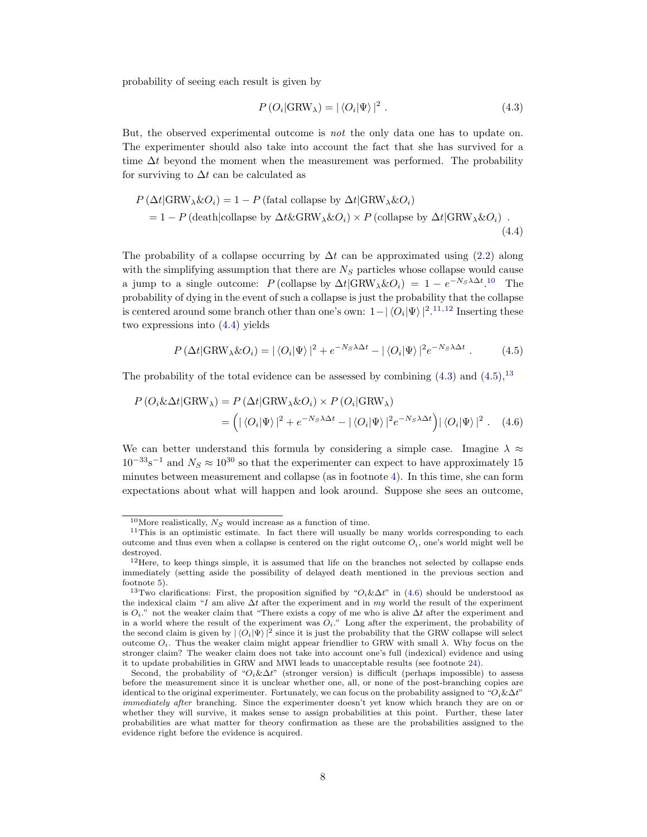probability of seeing each result is given by

<span id="page-7-4"></span><span id="page-7-3"></span>
$$
P\left(O_i|\text{GRW}_\lambda\right) = |\langle O_i|\Psi\rangle|^2. \tag{4.3}
$$

But, the observed experimental outcome is not the only data one has to update on. The experimenter should also take into account the fact that she has survived for a time  $\Delta t$  beyond the moment when the measurement was performed. The probability for surviving to  $\Delta t$  can be calculated as

$$
P(\Delta t | \text{GRW}_{\lambda} \& O_i) = 1 - P \text{ (fatal collapse by } \Delta t | \text{GRW}_{\lambda} \& O_i)
$$
  
= 1 - P (death|collapse by  $\Delta t \& \text{GRW}_{\lambda} \& O_i$ ) × P (collapse by  $\Delta t | \text{GRW}_{\lambda} \& O_i$ ). (4.4)

The probability of a collapse occurring by  $\Delta t$  can be approximated using [\(2.2\)](#page-2-2) along with the simplifying assumption that there are  $N<sub>S</sub>$  particles whose collapse would cause a jump to a single outcome:  $P(\text{collapse by } \Delta t | \text{GRW}_{\lambda} \& O_i) = 1 - e^{-N_S \lambda \Delta t}$ .<sup>[10](#page-7-0)</sup> The probability of dying in the event of such a collapse is just the probability that the collapse is centered around some branch other than one's own:  $1 - |\langle O_i | \Psi \rangle|^{2.11,12}$  $1 - |\langle O_i | \Psi \rangle|^{2.11,12}$  $1 - |\langle O_i | \Psi \rangle|^{2.11,12}$  $1 - |\langle O_i | \Psi \rangle|^{2.11,12}$  $1 - |\langle O_i | \Psi \rangle|^{2.11,12}$  Inserting these two expressions into [\(4.4\)](#page-7-3) yields

<span id="page-7-7"></span><span id="page-7-5"></span>
$$
P\left(\Delta t|\text{GRW}_{\lambda}\&O_i\right) = |\langle O_i|\Psi\rangle|^2 + e^{-N_S\lambda\Delta t} - |\langle O_i|\Psi\rangle|^2 e^{-N_S\lambda\Delta t} . \tag{4.5}
$$

The probability of the total evidence can be assessed by combining  $(4.3)$  and  $(4.5)$ ,  $^{13}$  $^{13}$  $^{13}$ 

$$
P\left(O_i \& \Delta t | \text{GRW}_{\lambda}\right) = P\left(\Delta t | \text{GRW}_{\lambda} \& O_i\right) \times P\left(O_i | \text{GRW}_{\lambda}\right)
$$

$$
= \left(\left|\left\langle O_i | \Psi\right\rangle\right|^2 + e^{-N_S \lambda \Delta t} - \left|\left\langle O_i | \Psi\right\rangle\right|^2 e^{-N_S \lambda \Delta t}\right) |\left\langle O_i | \Psi\right\rangle|^2. \tag{4.6}
$$

We can better understand this formula by considering a simple case. Imagine  $\lambda \approx$  $10^{-33}$ s<sup>-1</sup> and  $N_S \approx 10^{30}$  so that the experimenter can expect to have approximately 15 minutes between measurement and collapse (as in footnote [4\)](#page-4-2). In this time, she can form expectations about what will happen and look around. Suppose she sees an outcome,

<span id="page-7-1"></span><span id="page-7-0"></span><sup>&</sup>lt;sup>10</sup>More realistically,  $N_S$  would increase as a function of time.

 $11$ This is an optimistic estimate. In fact there will usually be many worlds corresponding to each outcome and thus even when a collapse is centered on the right outcome  $O_i$ , one's world might well be destroyed.

<span id="page-7-2"></span><sup>&</sup>lt;sup>12</sup>Here, to keep things simple, it is assumed that life on the branches not selected by collapse ends immediately (setting aside the possibility of delayed death mentioned in the previous section and footnote [5\)](#page-4-3).

<span id="page-7-6"></span><sup>&</sup>lt;sup>13</sup>Two clarifications: First, the proposition signified by " $O_i \& \Delta t$ " in [\(4.6\)](#page-7-7) should be understood as the indexical claim "I am alive  $\Delta t$  after the experiment and in my world the result of the experiment is  $O_i$ ." not the weaker claim that "There exists a copy of me who is alive  $\Delta t$  after the experiment and in a world where the result of the experiment was  $O_i$ ." Long after the experiment, the probability of the second claim is given by  $| \langle O_i | \Psi \rangle |^2$  since it is just the probability that the GRW collapse will select outcome  $O_i$ . Thus the weaker claim might appear friendlier to GRW with small λ. Why focus on the stronger claim? The weaker claim does not take into account one's full (indexical) evidence and using it to update probabilities in GRW and MWI leads to unacceptable results (see footnote [24\)](#page-12-1).

Second, the probability of " $O_i \& \Delta t$ " (stronger version) is difficult (perhaps impossible) to assess before the measurement since it is unclear whether one, all, or none of the post-branching copies are identical to the original experimenter. Fortunately, we can focus on the probability assigned to " $O_i\&\Delta t$ " immediately after branching. Since the experimenter doesn't yet know which branch they are on or whether they will survive, it makes sense to assign probabilities at this point. Further, these later probabilities are what matter for theory confirmation as these are the probabilities assigned to the evidence right before the evidence is acquired.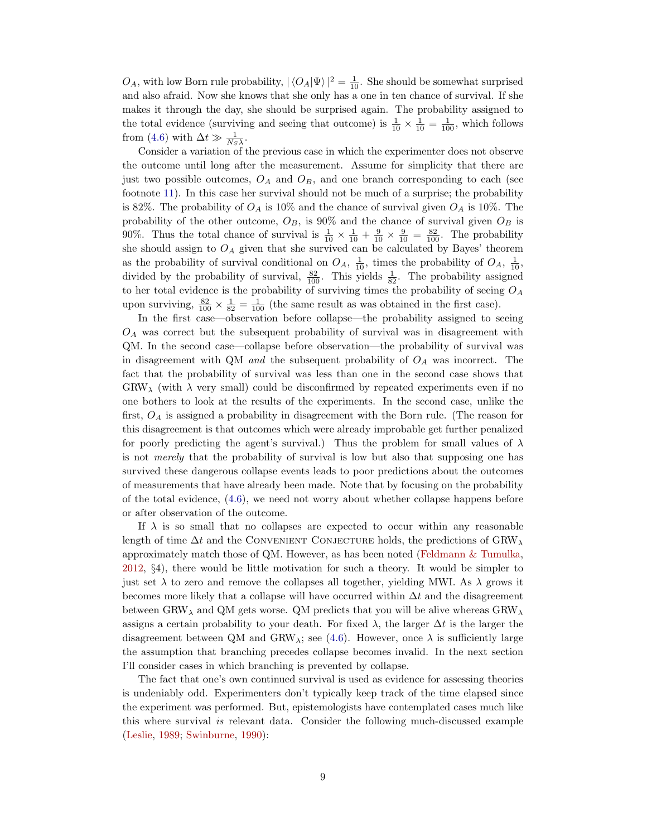$O_A$ , with low Born rule probability,  $|\langle O_A|\Psi\rangle|^2 = \frac{1}{10}$ . She should be somewhat surprised and also afraid. Now she knows that she only has a one in ten chance of survival. If she makes it through the day, she should be surprised again. The probability assigned to the total evidence (surviving and seeing that outcome) is  $\frac{1}{10} \times \frac{1}{10} = \frac{1}{100}$ , which follows from [\(4.6\)](#page-7-7) with  $\Delta t \gg \frac{1}{N_S \lambda}$ .

Consider a variation of the previous case in which the experimenter does not observe the outcome until long after the measurement. Assume for simplicity that there are just two possible outcomes,  $O_A$  and  $O_B$ , and one branch corresponding to each (see footnote [11\)](#page-7-1). In this case her survival should not be much of a surprise; the probability is 82%. The probability of  $O<sub>A</sub>$  is 10% and the chance of survival given  $O<sub>A</sub>$  is 10%. The probability of the other outcome,  $O_B$ , is 90% and the chance of survival given  $O_B$  is 90%. Thus the total chance of survival is  $\frac{1}{10} \times \frac{1}{10} + \frac{9}{10} \times \frac{9}{10} = \frac{82}{100}$ . The probability she should assign to  $O_A$  given that she survived can be calculated by Bayes' theorem as the probability of survival conditional on  $O_A$ ,  $\frac{1}{10}$ , times the probability of  $O_A$ ,  $\frac{1}{10}$ , divided by the probability of survival,  $\frac{82}{100}$ . This yields  $\frac{1}{82}$ . The probability assigned to her total evidence is the probability of surviving times the probability of seeing  $O_A$ upon surviving,  $\frac{82}{100} \times \frac{1}{82} = \frac{1}{100}$  (the same result as was obtained in the first case).

In the first case—observation before collapse—the probability assigned to seeing  $O<sub>A</sub>$  was correct but the subsequent probability of survival was in disagreement with QM. In the second case—collapse before observation—the probability of survival was in disagreement with QM and the subsequent probability of  $O<sub>A</sub>$  was incorrect. The fact that the probability of survival was less than one in the second case shows that  $GRW<sub>\lambda</sub>$  (with  $\lambda$  very small) could be disconfirmed by repeated experiments even if no one bothers to look at the results of the experiments. In the second case, unlike the first,  $O<sub>A</sub>$  is assigned a probability in disagreement with the Born rule. (The reason for this disagreement is that outcomes which were already improbable get further penalized for poorly predicting the agent's survival.) Thus the problem for small values of  $\lambda$ is not merely that the probability of survival is low but also that supposing one has survived these dangerous collapse events leads to poor predictions about the outcomes of measurements that have already been made. Note that by focusing on the probability of the total evidence, [\(4.6\)](#page-7-7), we need not worry about whether collapse happens before or after observation of the outcome.

If  $\lambda$  is so small that no collapses are expected to occur within any reasonable length of time  $\Delta t$  and the CONVENIENT CONJECTURE holds, the predictions of GRW<sub> $\lambda$ </sub> approximately match those of QM. However, as has been noted [\(Feldmann & Tumulka,](#page-14-1) [2012,](#page-14-1) §4), there would be little motivation for such a theory. It would be simpler to just set  $\lambda$  to zero and remove the collapses all together, yielding MWI. As  $\lambda$  grows it becomes more likely that a collapse will have occurred within  $\Delta t$  and the disagreement between GRW<sub> $\lambda$ </sub> and QM gets worse. QM predicts that you will be alive whereas GRW<sub> $\lambda$ </sub> assigns a certain probability to your death. For fixed  $\lambda$ , the larger  $\Delta t$  is the larger the disagreement between QM and GRW<sub> $\lambda$ </sub>; see [\(4.6\)](#page-7-7). However, once  $\lambda$  is sufficiently large the assumption that branching precedes collapse becomes invalid. In the next section I'll consider cases in which branching is prevented by collapse.

The fact that one's own continued survival is used as evidence for assessing theories is undeniably odd. Experimenters don't typically keep track of the time elapsed since the experiment was performed. But, epistemologists have contemplated cases much like this where survival is relevant data. Consider the following much-discussed example [\(Leslie,](#page-15-11) [1989;](#page-15-11) [Swinburne,](#page-15-12) [1990\)](#page-15-12):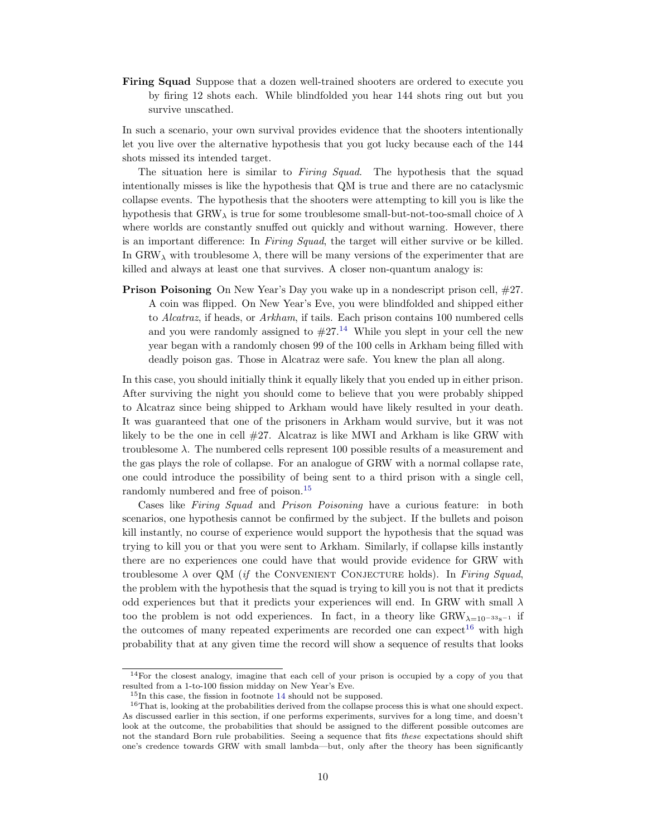Firing Squad Suppose that a dozen well-trained shooters are ordered to execute you by firing 12 shots each. While blindfolded you hear 144 shots ring out but you survive unscathed.

In such a scenario, your own survival provides evidence that the shooters intentionally let you live over the alternative hypothesis that you got lucky because each of the 144 shots missed its intended target.

The situation here is similar to Firing Squad. The hypothesis that the squad intentionally misses is like the hypothesis that QM is true and there are no cataclysmic collapse events. The hypothesis that the shooters were attempting to kill you is like the hypothesis that  $GRW_{\lambda}$  is true for some troublesome small-but-not-too-small choice of  $\lambda$ where worlds are constantly snuffed out quickly and without warning. However, there is an important difference: In Firing Squad, the target will either survive or be killed. In GRW<sub> $\lambda$ </sub> with troublesome  $\lambda$ , there will be many versions of the experimenter that are killed and always at least one that survives. A closer non-quantum analogy is:

Prison Poisoning On New Year's Day you wake up in a nondescript prison cell, #27. A coin was flipped. On New Year's Eve, you were blindfolded and shipped either to Alcatraz, if heads, or Arkham, if tails. Each prison contains 100 numbered cells and you were randomly assigned to  $#27<sup>14</sup>$  $#27<sup>14</sup>$  $#27<sup>14</sup>$  While you slept in your cell the new year began with a randomly chosen 99 of the 100 cells in Arkham being filled with deadly poison gas. Those in Alcatraz were safe. You knew the plan all along.

In this case, you should initially think it equally likely that you ended up in either prison. After surviving the night you should come to believe that you were probably shipped to Alcatraz since being shipped to Arkham would have likely resulted in your death. It was guaranteed that one of the prisoners in Arkham would survive, but it was not likely to be the one in cell #27. Alcatraz is like MWI and Arkham is like GRW with troublesome  $\lambda$ . The numbered cells represent 100 possible results of a measurement and the gas plays the role of collapse. For an analogue of GRW with a normal collapse rate, one could introduce the possibility of being sent to a third prison with a single cell, randomly numbered and free of poison.<sup>[15](#page-9-1)</sup>

Cases like Firing Squad and Prison Poisoning have a curious feature: in both scenarios, one hypothesis cannot be confirmed by the subject. If the bullets and poison kill instantly, no course of experience would support the hypothesis that the squad was trying to kill you or that you were sent to Arkham. Similarly, if collapse kills instantly there are no experiences one could have that would provide evidence for GRW with troublesome  $\lambda$  over QM (if the CONVENIENT CONJECTURE holds). In Firing Squad, the problem with the hypothesis that the squad is trying to kill you is not that it predicts odd experiences but that it predicts your experiences will end. In GRW with small  $\lambda$ too the problem is not odd experiences. In fact, in a theory like  $\text{GRW}_{\lambda=10^{-33}s^{-1}}$  if the outcomes of many repeated experiments are recorded one can expect<sup>[16](#page-9-2)</sup> with high probability that at any given time the record will show a sequence of results that looks

<span id="page-9-0"></span><sup>14</sup>For the closest analogy, imagine that each cell of your prison is occupied by a copy of you that resulted from a 1-to-100 fission midday on New Year's Eve.

<span id="page-9-2"></span><span id="page-9-1"></span> $^{15}{\rm In}$  this case, the fission in footnote [14](#page-9-0) should not be supposed.

<sup>&</sup>lt;sup>16</sup>That is, looking at the probabilities derived from the collapse process this is what one should expect. As discussed earlier in this section, if one performs experiments, survives for a long time, and doesn't look at the outcome, the probabilities that should be assigned to the different possible outcomes are not the standard Born rule probabilities. Seeing a sequence that fits these expectations should shift one's credence towards GRW with small lambda—but, only after the theory has been significantly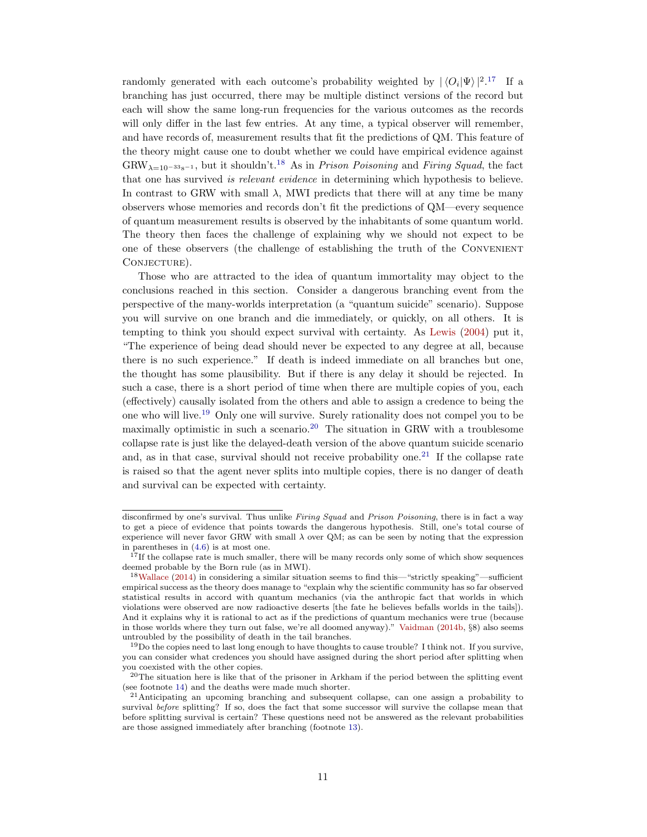randomly generated with each outcome's probability weighted by  $|\langle O_i | \Psi \rangle|^2$ .<sup>[17](#page-10-0)</sup> If a branching has just occurred, there may be multiple distinct versions of the record but each will show the same long-run frequencies for the various outcomes as the records will only differ in the last few entries. At any time, a typical observer will remember, and have records of, measurement results that fit the predictions of QM. This feature of the theory might cause one to doubt whether we could have empirical evidence against  $\text{GRW}_{\lambda-10^{-33}s^{-1}}$ , but it shouldn't.<sup>[18](#page-10-1)</sup> As in *Prison Poisoning* and Firing Squad, the fact that one has survived is relevant evidence in determining which hypothesis to believe. In contrast to GRW with small  $\lambda$ , MWI predicts that there will at any time be many observers whose memories and records don't fit the predictions of QM—every sequence of quantum measurement results is observed by the inhabitants of some quantum world. The theory then faces the challenge of explaining why we should not expect to be one of these observers (the challenge of establishing the truth of the Convenient CONJECTURE).

Those who are attracted to the idea of quantum immortality may object to the conclusions reached in this section. Consider a dangerous branching event from the perspective of the many-worlds interpretation (a "quantum suicide" scenario). Suppose you will survive on one branch and die immediately, or quickly, on all others. It is tempting to think you should expect survival with certainty. As [Lewis](#page-15-13) [\(2004\)](#page-15-13) put it, "The experience of being dead should never be expected to any degree at all, because there is no such experience." If death is indeed immediate on all branches but one, the thought has some plausibility. But if there is any delay it should be rejected. In such a case, there is a short period of time when there are multiple copies of you, each (effectively) causally isolated from the others and able to assign a credence to being the one who will live.[19](#page-10-2) Only one will survive. Surely rationality does not compel you to be maximally optimistic in such a scenario.<sup>[20](#page-10-3)</sup> The situation in GRW with a troublesome collapse rate is just like the delayed-death version of the above quantum suicide scenario and, as in that case, survival should not receive probability one.<sup>[21](#page-10-4)</sup> If the collapse rate is raised so that the agent never splits into multiple copies, there is no danger of death and survival can be expected with certainty.

disconfirmed by one's survival. Thus unlike Firing Squad and Prison Poisoning, there is in fact a way to get a piece of evidence that points towards the dangerous hypothesis. Still, one's total course of experience will never favor GRW with small  $\lambda$  over QM; as can be seen by noting that the expression in parentheses in [\(4.6\)](#page-7-7) is at most one.

<span id="page-10-0"></span> $17$ If the collapse rate is much smaller, there will be many records only some of which show sequences deemed probable by the Born rule (as in MWI).

<span id="page-10-1"></span><sup>18</sup>[Wallace](#page-15-4) [\(2014\)](#page-15-4) in considering a similar situation seems to find this—"strictly speaking"—sufficient empirical success as the theory does manage to "explain why the scientific community has so far observed statistical results in accord with quantum mechanics (via the anthropic fact that worlds in which violations were observed are now radioactive deserts [the fate he believes befalls worlds in the tails]). And it explains why it is rational to act as if the predictions of quantum mechanics were true (because in those worlds where they turn out false, we're all doomed anyway)." [Vaidman](#page-15-5) [\(2014b,](#page-15-5) §8) also seems untroubled by the possibility of death in the tail branches.

<span id="page-10-2"></span><sup>&</sup>lt;sup>19</sup>Do the copies need to last long enough to have thoughts to cause trouble? I think not. If you survive, you can consider what credences you should have assigned during the short period after splitting when you coexisted with the other copies.

<span id="page-10-3"></span> $20$ The situation here is like that of the prisoner in Arkham if the period between the splitting event (see footnote [14\)](#page-9-0) and the deaths were made much shorter.

<span id="page-10-4"></span> $21$ Anticipating an upcoming branching and subsequent collapse, can one assign a probability to survival before splitting? If so, does the fact that some successor will survive the collapse mean that before splitting survival is certain? These questions need not be answered as the relevant probabilities are those assigned immediately after branching (footnote [13\)](#page-7-6).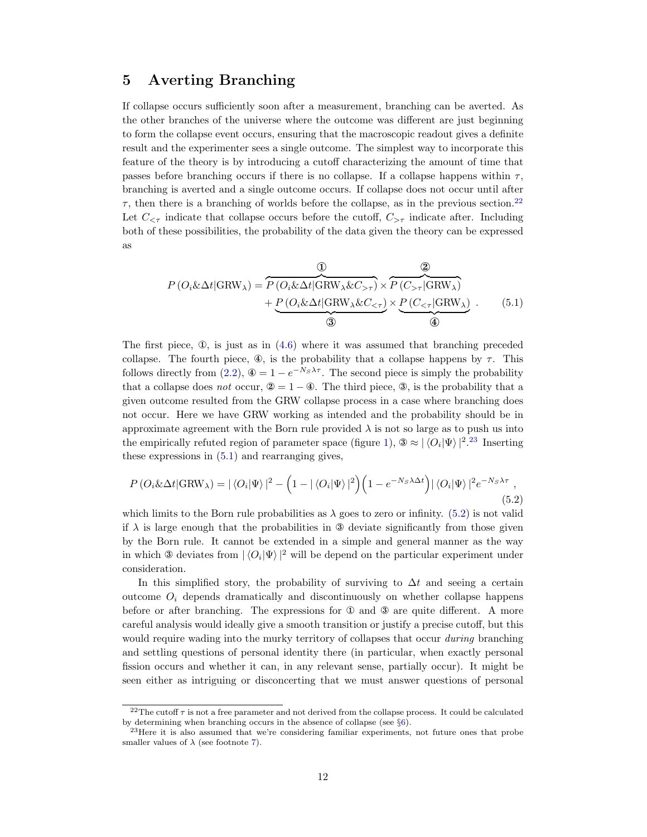#### <span id="page-11-0"></span>5 Averting Branching

If collapse occurs sufficiently soon after a measurement, branching can be averted. As the other branches of the universe where the outcome was different are just beginning to form the collapse event occurs, ensuring that the macroscopic readout gives a definite result and the experimenter sees a single outcome. The simplest way to incorporate this feature of the theory is by introducing a cutoff characterizing the amount of time that passes before branching occurs if there is no collapse. If a collapse happens within  $\tau$ , branching is averted and a single outcome occurs. If collapse does not occur until after  $\tau$ , then there is a branching of worlds before the collapse, as in the previous section.<sup>[22](#page-11-1)</sup> Let  $C_{\leq \tau}$  indicate that collapse occurs before the cutoff,  $C_{\geq \tau}$  indicate after. Including both of these possibilities, the probability of the data given the theory can be expressed as

<span id="page-11-3"></span>
$$
P(O_i \&\Delta t | \text{GRW}_{\lambda}) = \underbrace{P(O_i \&\Delta t | \text{GRW}_{\lambda} \& C_{>\tau})}_{\text{+}} \times \underbrace{P(C_{>\tau} | \text{GRW}_{\lambda})}_{\text{+}} + \underbrace{P(O_i \&\Delta t | \text{GRW}_{\lambda} \& C_{<\tau})}_{\text{+}} \times \underbrace{P(C_{<\tau} | \text{GRW}_{\lambda})}_{\text{+}}.
$$
\n
$$
(5.1)
$$

The first piece, ①, is just as in [\(4.6\)](#page-7-7) where it was assumed that branching preceded collapse. The fourth piece,  $\circledast$ , is the probability that a collapse happens by  $\tau$ . This follows directly from [\(2.2\)](#page-2-2),  $\mathcal{D} = 1 - e^{-N_S \lambda \tau}$ . The second piece is simply the probability that a collapse does not occur,  $\mathcal{D} = 1 - \mathcal{D}$ . The third piece,  $\mathcal{D}$ , is the probability that a given outcome resulted from the GRW collapse process in a case where branching does not occur. Here we have GRW working as intended and the probability should be in approximate agreement with the Born rule provided  $\lambda$  is not so large as to push us into the empirically refuted region of parameter space (figure [1\)](#page-1-0),  $\mathcal{F} \approx |\langle O_i | \Psi \rangle|^2$ <sup>[23](#page-11-2)</sup> Inserting these expressions in [\(5.1\)](#page-11-3) and rearranging gives,

<span id="page-11-4"></span>
$$
P\left(O_i\&\Delta t|\text{GRW}_\lambda\right) = |\langle O_i|\Psi\rangle|^2 - \left(1 - |\langle O_i|\Psi\rangle|^2\right)\left(1 - e^{-N_S\lambda\Delta t}\right)|\langle O_i|\Psi\rangle|^2 e^{-N_S\lambda\tau},\tag{5.2}
$$

which limits to the Born rule probabilities as  $\lambda$  goes to zero or infinity. [\(5.2\)](#page-11-4) is not valid if  $\lambda$  is large enough that the probabilities in  $\mathcal D$  deviate significantly from those given by the Born rule. It cannot be extended in a simple and general manner as the way in which  $\otimes$  deviates from  $|\langle O_i | \Psi \rangle|^2$  will be depend on the particular experiment under consideration.

In this simplified story, the probability of surviving to  $\Delta t$  and seeing a certain outcome  $O_i$  depends dramatically and discontinuously on whether collapse happens before or after branching. The expressions for  $\Phi$  and  $\Phi$  are quite different. A more careful analysis would ideally give a smooth transition or justify a precise cutoff, but this would require wading into the murky territory of collapses that occur *during* branching and settling questions of personal identity there (in particular, when exactly personal fission occurs and whether it can, in any relevant sense, partially occur). It might be seen either as intriguing or disconcerting that we must answer questions of personal

<span id="page-11-1"></span><sup>&</sup>lt;sup>22</sup>The cutoff  $\tau$  is not a free parameter and not derived from the collapse process. It could be calculated by determining when branching occurs in the absence of collapse (see §[6\)](#page-12-0).

<span id="page-11-2"></span><sup>23</sup>Here it is also assumed that we're considering familiar experiments, not future ones that probe smaller values of  $\lambda$  (see footnote [7\)](#page-6-0).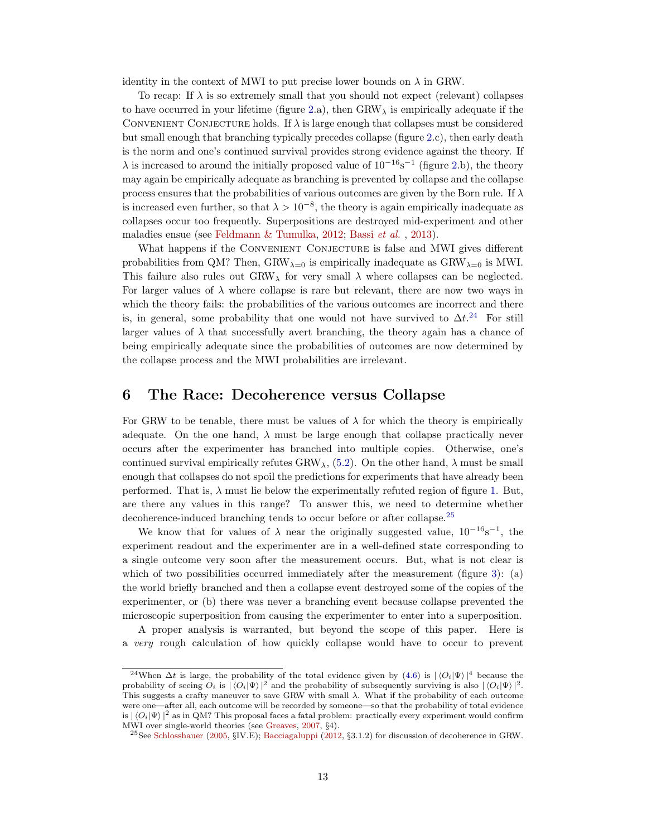identity in the context of MWI to put precise lower bounds on  $\lambda$  in GRW.

To recap: If  $\lambda$  is so extremely small that you should not expect (relevant) collapses to have occurred in your lifetime (figure [2.](#page-5-0)a), then  $GRW<sub>\lambda</sub>$  is empirically adequate if the CONVENIENT CONJECTURE holds. If  $\lambda$  is large enough that collapses must be considered but small enough that branching typically precedes collapse (figure [2.](#page-5-0)c), then early death is the norm and one's continued survival provides strong evidence against the theory. If  $\lambda$  is increased to around the initially proposed value of  $10^{-16}$ s<sup>-1</sup> (figure [2.](#page-5-0)b), the theory may again be empirically adequate as branching is prevented by collapse and the collapse process ensures that the probabilities of various outcomes are given by the Born rule. If  $\lambda$ is increased even further, so that  $\lambda > 10^{-8}$ , the theory is again empirically inadequate as collapses occur too frequently. Superpositions are destroyed mid-experiment and other maladies ensue (see [Feldmann & Tumulka,](#page-14-1) [2012;](#page-14-1) [Bassi](#page-14-2) et al. , [2013\)](#page-14-2).

What happens if the CONVENIENT CONJECTURE is false and MWI gives different probabilities from QM? Then, GRW<sub> $\lambda=0$ </sub> is empirically inadequate as GRW $_{\lambda=0}$  is MWI. This failure also rules out  $GRW<sub>\lambda</sub>$  for very small  $\lambda$  where collapses can be neglected. For larger values of  $\lambda$  where collapse is rare but relevant, there are now two ways in which the theory fails: the probabilities of the various outcomes are incorrect and there is, in general, some probability that one would not have survived to  $\Delta t$ .<sup>[24](#page-12-1)</sup> For still larger values of  $\lambda$  that successfully avert branching, the theory again has a chance of being empirically adequate since the probabilities of outcomes are now determined by the collapse process and the MWI probabilities are irrelevant.

#### <span id="page-12-0"></span>6 The Race: Decoherence versus Collapse

For GRW to be tenable, there must be values of  $\lambda$  for which the theory is empirically adequate. On the one hand,  $\lambda$  must be large enough that collapse practically never occurs after the experimenter has branched into multiple copies. Otherwise, one's continued survival empirically refutes GRW<sub> $\lambda$ </sub>, [\(5.2\)](#page-11-4). On the other hand,  $\lambda$  must be small enough that collapses do not spoil the predictions for experiments that have already been performed. That is,  $\lambda$  must lie below the experimentally refuted region of figure [1.](#page-1-0) But, are there any values in this range? To answer this, we need to determine whether decoherence-induced branching tends to occur before or after collapse.[25](#page-12-2)

We know that for values of  $\lambda$  near the originally suggested value,  $10^{-16}s^{-1}$ , the experiment readout and the experimenter are in a well-defined state corresponding to a single outcome very soon after the measurement occurs. But, what is not clear is which of two possibilities occurred immediately after the measurement (figure [3\)](#page-13-0): (a) the world briefly branched and then a collapse event destroyed some of the copies of the experimenter, or (b) there was never a branching event because collapse prevented the microscopic superposition from causing the experimenter to enter into a superposition.

A proper analysis is warranted, but beyond the scope of this paper. Here is a very rough calculation of how quickly collapse would have to occur to prevent

<span id="page-12-1"></span><sup>&</sup>lt;sup>24</sup>When  $\Delta t$  is large, the probability of the total evidence given by [\(4.6\)](#page-7-7) is  $| \langle O_i | \Psi \rangle |^4$  because the probability of seeing  $O_i$  is  $|\langle O_i|\Psi\rangle|^2$  and the probability of subsequently surviving is also  $|\langle O_i|\Psi\rangle|^2$ . This suggests a crafty maneuver to save GRW with small  $\lambda$ . What if the probability of each outcome were one—after all, each outcome will be recorded by someone—so that the probability of total evidence is  $|\langle O_i|\Psi\rangle|^2$  as in QM? This proposal faces a fatal problem: practically every experiment would confirm MWI over single-world theories (see [Greaves,](#page-15-14) [2007,](#page-15-14) §4).

<span id="page-12-2"></span><sup>25</sup>See [Schlosshauer](#page-15-15) [\(2005,](#page-15-15) §IV.E); [Bacciagaluppi](#page-14-9) [\(2012,](#page-14-9) §3.1.2) for discussion of decoherence in GRW.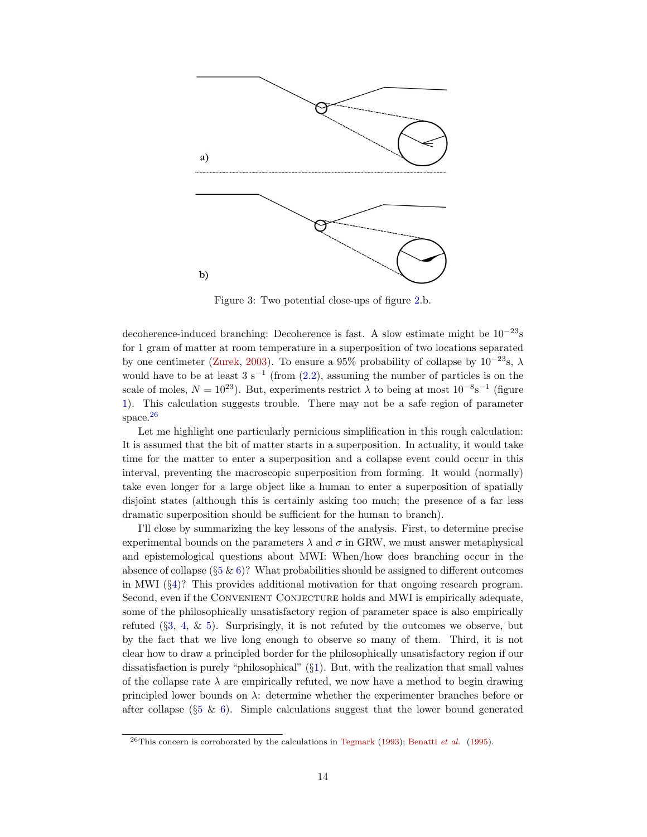

<span id="page-13-0"></span>Figure 3: Two potential close-ups of figure [2.](#page-5-0)b.

decoherence-induced branching: Decoherence is fast. A slow estimate might be  $10^{-23}$ s for 1 gram of matter at room temperature in a superposition of two locations separated by one centimeter [\(Zurek,](#page-15-16) [2003\)](#page-15-16). To ensure a 95% probability of collapse by  $10^{-23}$ s,  $\lambda$ would have to be at least  $3 s^{-1}$  (from [\(2.2\)](#page-2-2), assuming the number of particles is on the scale of moles,  $N = 10^{23}$ ). But, experiments restrict  $\lambda$  to being at most  $10^{-8}s^{-1}$  (figure [1\)](#page-1-0). This calculation suggests trouble. There may not be a safe region of parameter space.<sup>[26](#page-13-1)</sup>

Let me highlight one particularly pernicious simplification in this rough calculation: It is assumed that the bit of matter starts in a superposition. In actuality, it would take time for the matter to enter a superposition and a collapse event could occur in this interval, preventing the macroscopic superposition from forming. It would (normally) take even longer for a large object like a human to enter a superposition of spatially disjoint states (although this is certainly asking too much; the presence of a far less dramatic superposition should be sufficient for the human to branch).

I'll close by summarizing the key lessons of the analysis. First, to determine precise experimental bounds on the parameters  $\lambda$  and  $\sigma$  in GRW, we must answer metaphysical and epistemological questions about MWI: When/how does branching occur in the absence of collapse ( $\S 5 \& 6$  $\S 5 \& 6$  $\S 5 \& 6$ )? What probabilities should be assigned to different outcomes in MWI (§[4\)](#page-5-2)? This provides additional motivation for that ongoing research program. Second, even if the CONVENIENT CONJECTURE holds and MWI is empirically adequate, some of the philosophically unsatisfactory region of parameter space is also empirically refuted  $(\S3, 4, \& 5)$  $(\S3, 4, \& 5)$  $(\S3, 4, \& 5)$  $(\S3, 4, \& 5)$  $(\S3, 4, \& 5)$  $(\S3, 4, \& 5)$ . Surprisingly, it is not refuted by the outcomes we observe, but by the fact that we live long enough to observe so many of them. Third, it is not clear how to draw a principled border for the philosophically unsatisfactory region if our dissatisfaction is purely "philosophical" (§[1\)](#page-0-0). But, with the realization that small values of the collapse rate  $\lambda$  are empirically refuted, we now have a method to begin drawing principled lower bounds on  $\lambda$ : determine whether the experimenter branches before or after collapse ( $\S5 \& 6$  $\S5 \& 6$  $\S5 \& 6$ ). Simple calculations suggest that the lower bound generated

<span id="page-13-1"></span><sup>&</sup>lt;sup>26</sup>This concern is corroborated by the calculations in [Tegmark](#page-15-17) [\(1993\)](#page-15-17); [Benatti](#page-14-10) *et al.* [\(1995\)](#page-14-10).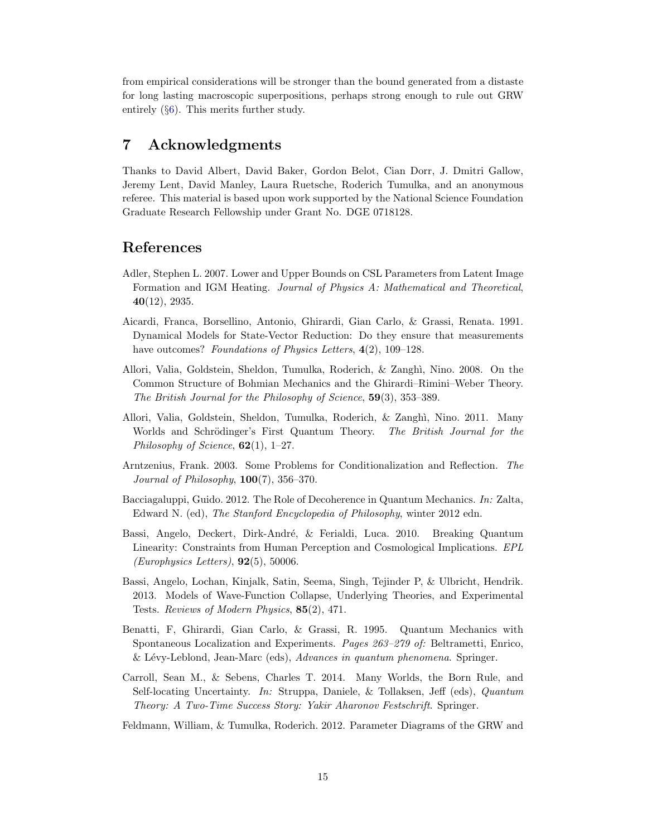from empirical considerations will be stronger than the bound generated from a distaste for long lasting macroscopic superpositions, perhaps strong enough to rule out GRW entirely (§[6\)](#page-12-0). This merits further study.

### 7 Acknowledgments

Thanks to David Albert, David Baker, Gordon Belot, Cian Dorr, J. Dmitri Gallow, Jeremy Lent, David Manley, Laura Ruetsche, Roderich Tumulka, and an anonymous referee. This material is based upon work supported by the National Science Foundation Graduate Research Fellowship under Grant No. DGE 0718128.

#### References

- <span id="page-14-0"></span>Adler, Stephen L. 2007. Lower and Upper Bounds on CSL Parameters from Latent Image Formation and IGM Heating. Journal of Physics A: Mathematical and Theoretical, 40(12), 2935.
- <span id="page-14-4"></span>Aicardi, Franca, Borsellino, Antonio, Ghirardi, Gian Carlo, & Grassi, Renata. 1991. Dynamical Models for State-Vector Reduction: Do they ensure that measurements have outcomes? Foundations of Physics Letters,  $4(2)$ , 109–128.
- <span id="page-14-5"></span>Allori, Valia, Goldstein, Sheldon, Tumulka, Roderich, & Zangh`ı, Nino. 2008. On the Common Structure of Bohmian Mechanics and the Ghirardi–Rimini–Weber Theory. The British Journal for the Philosophy of Science, 59(3), 353–389.
- <span id="page-14-6"></span>Allori, Valia, Goldstein, Sheldon, Tumulka, Roderich, & Zangh`ı, Nino. 2011. Many Worlds and Schrödinger's First Quantum Theory. The British Journal for the Philosophy of Science,  $62(1)$ , 1–27.
- <span id="page-14-7"></span>Arntzenius, Frank. 2003. Some Problems for Conditionalization and Reflection. The Journal of Philosophy,  $100(7)$ ,  $356-370$ .
- <span id="page-14-9"></span>Bacciagaluppi, Guido. 2012. The Role of Decoherence in Quantum Mechanics. In: Zalta, Edward N. (ed), The Stanford Encyclopedia of Philosophy, winter 2012 edn.
- <span id="page-14-3"></span>Bassi, Angelo, Deckert, Dirk-André, & Ferialdi, Luca. 2010. Breaking Quantum Linearity: Constraints from Human Perception and Cosmological Implications. EPL  $(Europhysics Letters)$ , 92(5), 50006.
- <span id="page-14-2"></span>Bassi, Angelo, Lochan, Kinjalk, Satin, Seema, Singh, Tejinder P, & Ulbricht, Hendrik. 2013. Models of Wave-Function Collapse, Underlying Theories, and Experimental Tests. Reviews of Modern Physics, 85(2), 471.
- <span id="page-14-10"></span>Benatti, F, Ghirardi, Gian Carlo, & Grassi, R. 1995. Quantum Mechanics with Spontaneous Localization and Experiments. Pages 263–279 of: Beltrametti, Enrico, & L´evy-Leblond, Jean-Marc (eds), Advances in quantum phenomena. Springer.
- <span id="page-14-8"></span>Carroll, Sean M., & Sebens, Charles T. 2014. Many Worlds, the Born Rule, and Self-locating Uncertainty. In: Struppa, Daniele, & Tollaksen, Jeff (eds), Quantum Theory: A Two-Time Success Story: Yakir Aharonov Festschrift. Springer.
- <span id="page-14-1"></span>Feldmann, William, & Tumulka, Roderich. 2012. Parameter Diagrams of the GRW and